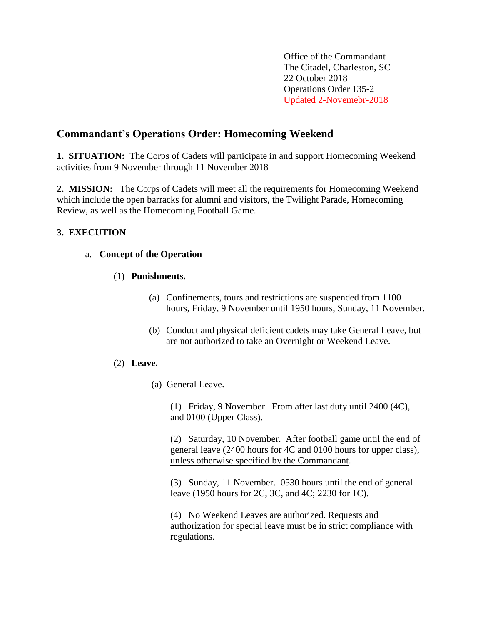Office of the Commandant The Citadel, Charleston, SC 22 October 2018 Operations Order 135-2 Updated 2-Novemebr-2018

# **Commandant's Operations Order: Homecoming Weekend**

**1. SITUATION:** The Corps of Cadets will participate in and support Homecoming Weekend activities from 9 November through 11 November 2018

**2. MISSION:** The Corps of Cadets will meet all the requirements for Homecoming Weekend which include the open barracks for alumni and visitors, the Twilight Parade, Homecoming Review, as well as the Homecoming Football Game.

## **3. EXECUTION**

## a. **Concept of the Operation**

## (1) **Punishments.**

- (a) Confinements, tours and restrictions are suspended from 1100 hours, Friday, 9 November until 1950 hours, Sunday, 11 November.
- (b) Conduct and physical deficient cadets may take General Leave, but are not authorized to take an Overnight or Weekend Leave.

#### (2) **Leave.**

(a) General Leave.

(1) Friday, 9 November. From after last duty until 2400 (4C), and 0100 (Upper Class).

(2) Saturday, 10 November. After football game until the end of general leave (2400 hours for 4C and 0100 hours for upper class), unless otherwise specified by the Commandant.

(3) Sunday, 11 November. 0530 hours until the end of general leave (1950 hours for 2C, 3C, and 4C; 2230 for 1C).

(4) No Weekend Leaves are authorized. Requests and authorization for special leave must be in strict compliance with regulations.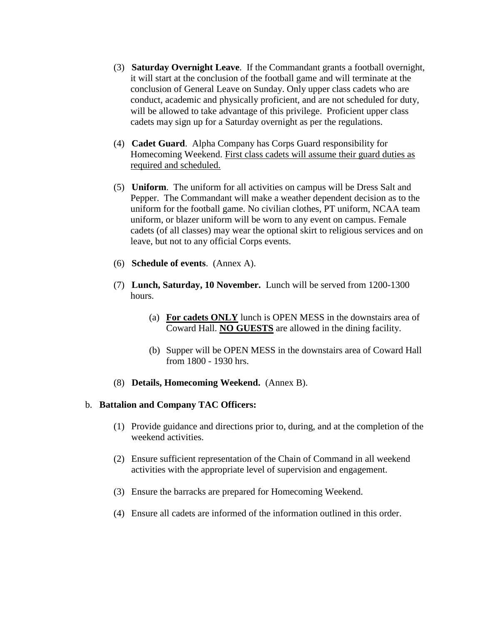- (3) **Saturday Overnight Leave**. If the Commandant grants a football overnight, it will start at the conclusion of the football game and will terminate at the conclusion of General Leave on Sunday. Only upper class cadets who are conduct, academic and physically proficient, and are not scheduled for duty, will be allowed to take advantage of this privilege. Proficient upper class cadets may sign up for a Saturday overnight as per the regulations.
- (4) **Cadet Guard**. Alpha Company has Corps Guard responsibility for Homecoming Weekend. First class cadets will assume their guard duties as required and scheduled.
- (5) **Uniform**. The uniform for all activities on campus will be Dress Salt and Pepper. The Commandant will make a weather dependent decision as to the uniform for the football game. No civilian clothes, PT uniform, NCAA team uniform, or blazer uniform will be worn to any event on campus. Female cadets (of all classes) may wear the optional skirt to religious services and on leave, but not to any official Corps events.
- (6) **Schedule of events**. (Annex A).
- (7) **Lunch, Saturday, 10 November.** Lunch will be served from 1200-1300 hours.
	- (a) **For cadets ONLY** lunch is OPEN MESS in the downstairs area of Coward Hall. **NO GUESTS** are allowed in the dining facility.
	- (b) Supper will be OPEN MESS in the downstairs area of Coward Hall from 1800 - 1930 hrs.
- (8) **Details, Homecoming Weekend.** (Annex B).

#### b. **Battalion and Company TAC Officers:**

- (1) Provide guidance and directions prior to, during, and at the completion of the weekend activities.
- (2) Ensure sufficient representation of the Chain of Command in all weekend activities with the appropriate level of supervision and engagement.
- (3) Ensure the barracks are prepared for Homecoming Weekend.
- (4) Ensure all cadets are informed of the information outlined in this order.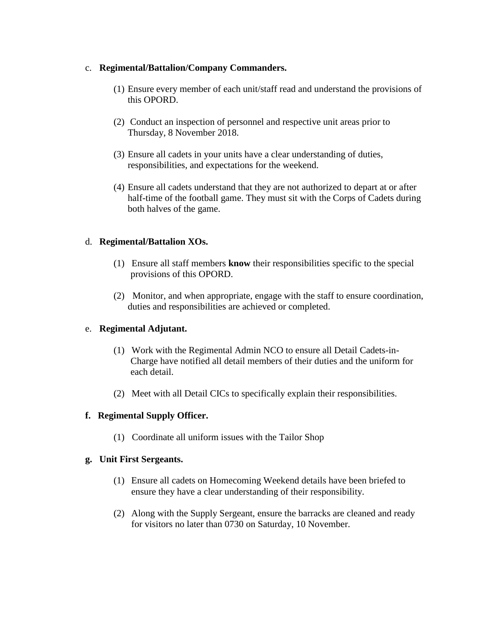### c. **Regimental/Battalion/Company Commanders.**

- (1) Ensure every member of each unit/staff read and understand the provisions of this OPORD.
- (2) Conduct an inspection of personnel and respective unit areas prior to Thursday, 8 November 2018.
- (3) Ensure all cadets in your units have a clear understanding of duties, responsibilities, and expectations for the weekend.
- (4) Ensure all cadets understand that they are not authorized to depart at or after half-time of the football game. They must sit with the Corps of Cadets during both halves of the game.

## d. **Regimental/Battalion XOs.**

- (1) Ensure all staff members **know** their responsibilities specific to the special provisions of this OPORD.
- (2) Monitor, and when appropriate, engage with the staff to ensure coordination, duties and responsibilities are achieved or completed.

## e. **Regimental Adjutant.**

- (1) Work with the Regimental Admin NCO to ensure all Detail Cadets-in-Charge have notified all detail members of their duties and the uniform for each detail.
- (2) Meet with all Detail CICs to specifically explain their responsibilities.

## **f. Regimental Supply Officer.**

(1) Coordinate all uniform issues with the Tailor Shop

#### **g. Unit First Sergeants.**

- (1) Ensure all cadets on Homecoming Weekend details have been briefed to ensure they have a clear understanding of their responsibility.
- (2) Along with the Supply Sergeant, ensure the barracks are cleaned and ready for visitors no later than 0730 on Saturday, 10 November.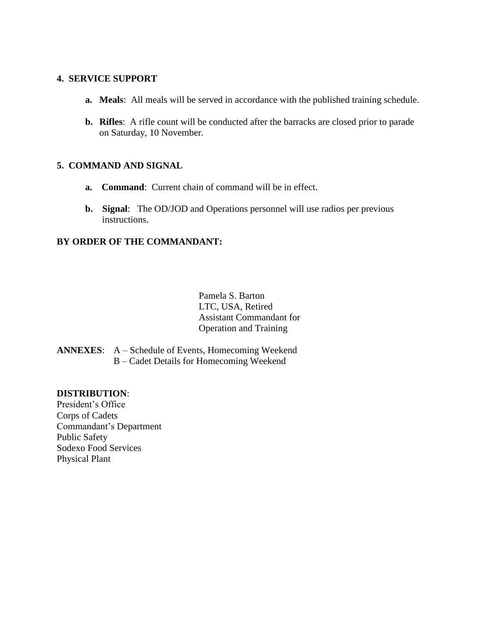#### **4. SERVICE SUPPORT**

- **a. Meals**: All meals will be served in accordance with the published training schedule.
- **b. Rifles**: A rifle count will be conducted after the barracks are closed prior to parade on Saturday, 10 November.

## **5. COMMAND AND SIGNAL**

- **a. Command**: Current chain of command will be in effect.
- **b. Signal**: The OD/JOD and Operations personnel will use radios per previous instructions.

## **BY ORDER OF THE COMMANDANT:**

Pamela S. Barton LTC, USA, Retired Assistant Commandant for Operation and Training

**ANNEXES**: A – Schedule of Events, Homecoming Weekend B – Cadet Details for Homecoming Weekend

#### **DISTRIBUTION**:

President's Office Corps of Cadets Commandant's Department Public Safety Sodexo Food Services Physical Plant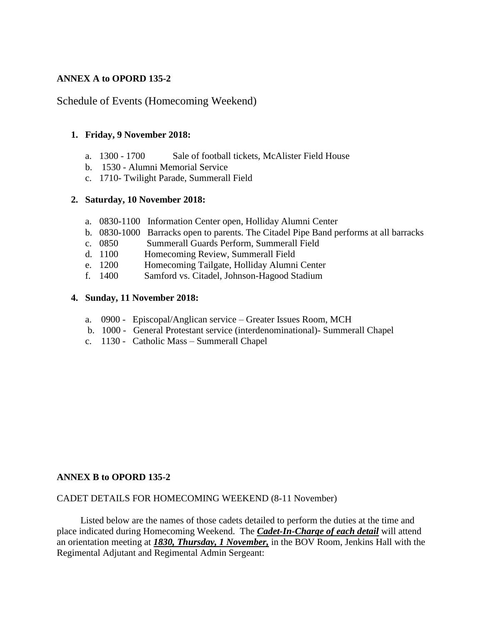## **ANNEX A to OPORD 135-2**

## Schedule of Events (Homecoming Weekend)

#### **1. Friday, 9 November 2018:**

- a. 1300 1700 Sale of football tickets, McAlister Field House
- b. 1530 Alumni Memorial Service
- c. 1710- Twilight Parade, Summerall Field

#### **2. Saturday, 10 November 2018:**

- a. 0830-1100 Information Center open, Holliday Alumni Center
- b. 0830-1000 Barracks open to parents. The Citadel Pipe Band performs at all barracks
- c. 0850 Summerall Guards Perform, Summerall Field
- d. 1100 Homecoming Review, Summerall Field
- e. 1200 Homecoming Tailgate, Holliday Alumni Center
- f. 1400 Samford vs. Citadel, Johnson-Hagood Stadium

#### **4. Sunday, 11 November 2018:**

- a. 0900 Episcopal/Anglican service Greater Issues Room, MCH
- b. 1000 General Protestant service (interdenominational)- Summerall Chapel
- c. 1130 Catholic Mass Summerall Chapel

#### **ANNEX B to OPORD 135-2**

#### CADET DETAILS FOR HOMECOMING WEEKEND (8-11 November)

 Listed below are the names of those cadets detailed to perform the duties at the time and place indicated during Homecoming Weekend. The *Cadet-In-Charge of each detail* will attend an orientation meeting at *1830, Thursday, 1 November,* in the BOV Room, Jenkins Hall with the Regimental Adjutant and Regimental Admin Sergeant: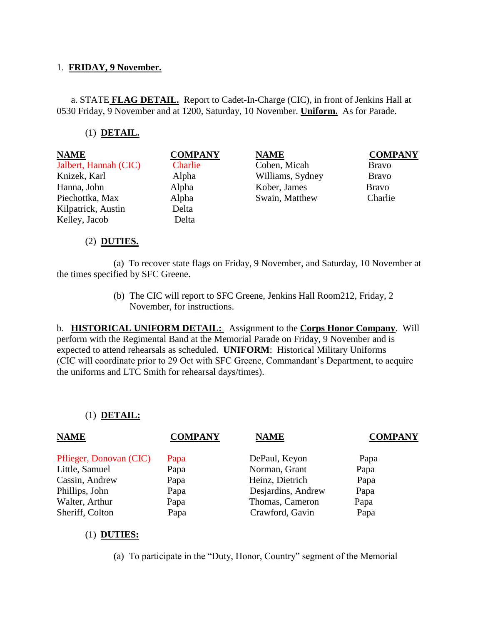## 1. **FRIDAY, 9 November.**

 a. STATE **FLAG DETAIL.** Report to Cadet-In-Charge (CIC), in front of Jenkins Hall at 0530 Friday, 9 November and at 1200, Saturday, 10 November. **Uniform.** As for Parade.

### (1) **DETAIL.**

**NAME COMPANY NAME COMPANY** Jalbert, Hannah (CIC) Charlie Cohen, Micah Bravo Knizek, Karl Alpha Williams, Sydney Bravo Hanna, John Alpha Kober, James Bravo Piechottka, Max Alpha Swain, Matthew Charlie Kilpatrick, Austin Delta Kelley, Jacob Delta

#### (2) **DUTIES.**

 (a) To recover state flags on Friday, 9 November, and Saturday, 10 November at the times specified by SFC Greene.

> (b) The CIC will report to SFC Greene, Jenkins Hall Room212, Friday, 2 November, for instructions.

b. **HISTORICAL UNIFORM DETAIL:** Assignment to the **Corps Honor Company**. Will perform with the Regimental Band at the Memorial Parade on Friday, 9 November and is expected to attend rehearsals as scheduled. **UNIFORM**: Historical Military Uniforms (CIC will coordinate prior to 29 Oct with SFC Greene, Commandant's Department, to acquire the uniforms and LTC Smith for rehearsal days/times).

#### (1) **DETAIL:**

| <b>NAME</b>             | <b>COMPANY</b> | <b>NAME</b>        | <b>COMPANY</b> |
|-------------------------|----------------|--------------------|----------------|
| Pflieger, Donovan (CIC) | Papa           | DePaul, Keyon      | Papa           |
| Little, Samuel          | Papa           | Norman, Grant      | Papa           |
| Cassin, Andrew          | Papa           | Heinz, Dietrich    | Papa           |
| Phillips, John          | Papa           | Desjardins, Andrew | Papa           |
| Walter, Arthur          | Papa           | Thomas, Cameron    | Papa           |
| Sheriff, Colton         | Papa           | Crawford, Gavin    | Papa           |

#### (1) **DUTIES:**

(a) To participate in the "Duty, Honor, Country" segment of the Memorial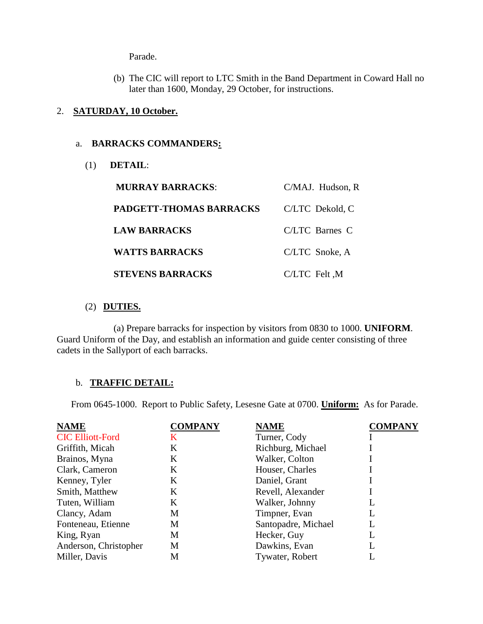Parade.

(b) The CIC will report to LTC Smith in the Band Department in Coward Hall no later than 1600, Monday, 29 October, for instructions.

#### 2. **SATURDAY, 10 October.**

## a. **BARRACKS COMMANDERS:**

(1) **DETAIL**:

| <b>MURRAY BARRACKS:</b>        | C/MAJ. Hudson, R |
|--------------------------------|------------------|
| <b>PADGETT-THOMAS BARRACKS</b> | C/LTC Dekold, C  |
| <b>LAW BARRACKS</b>            | C/LTC Barnes C   |
| <b>WATTS BARRACKS</b>          | C/LTC Snoke, A   |
| <b>STEVENS BARRACKS</b>        | C/LTC Felt, M    |

## (2) **DUTIES.**

 (a) Prepare barracks for inspection by visitors from 0830 to 1000. **UNIFORM**. Guard Uniform of the Day, and establish an information and guide center consisting of three cadets in the Sallyport of each barracks.

## b. **TRAFFIC DETAIL:**

From 0645-1000. Report to Public Safety, Lesesne Gate at 0700. **Uniform:** As for Parade.

| <b>NAME</b>             | <b>COMPANY</b> | <b>NAME</b>         | <b>COMPANY</b> |
|-------------------------|----------------|---------------------|----------------|
| <b>CIC Elliott-Ford</b> | K              | Turner, Cody        |                |
| Griffith, Micah         | K              | Richburg, Michael   |                |
| Brainos, Myna           | K              | Walker, Colton      |                |
| Clark, Cameron          | K              | Houser, Charles     |                |
| Kenney, Tyler           | K              | Daniel, Grant       |                |
| Smith, Matthew          | K              | Revell, Alexander   |                |
| Tuten, William          | K              | Walker, Johnny      | L              |
| Clancy, Adam            | M              | Timpner, Evan       | L              |
| Fonteneau, Etienne      | M              | Santopadre, Michael |                |
| King, Ryan              | M              | Hecker, Guy         |                |
| Anderson, Christopher   | M              | Dawkins, Evan       |                |
| Miller, Davis           | M              | Tywater, Robert     |                |